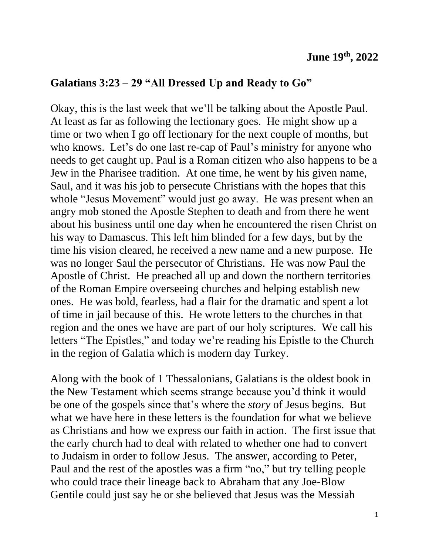## **Galatians 3:23 – 29 "All Dressed Up and Ready to Go"**

Okay, this is the last week that we'll be talking about the Apostle Paul. At least as far as following the lectionary goes. He might show up a time or two when I go off lectionary for the next couple of months, but who knows. Let's do one last re-cap of Paul's ministry for anyone who needs to get caught up. Paul is a Roman citizen who also happens to be a Jew in the Pharisee tradition. At one time, he went by his given name, Saul, and it was his job to persecute Christians with the hopes that this whole "Jesus Movement" would just go away. He was present when an angry mob stoned the Apostle Stephen to death and from there he went about his business until one day when he encountered the risen Christ on his way to Damascus. This left him blinded for a few days, but by the time his vision cleared, he received a new name and a new purpose. He was no longer Saul the persecutor of Christians. He was now Paul the Apostle of Christ. He preached all up and down the northern territories of the Roman Empire overseeing churches and helping establish new ones. He was bold, fearless, had a flair for the dramatic and spent a lot of time in jail because of this. He wrote letters to the churches in that region and the ones we have are part of our holy scriptures. We call his letters "The Epistles," and today we're reading his Epistle to the Church in the region of Galatia which is modern day Turkey.

Along with the book of 1 Thessalonians, Galatians is the oldest book in the New Testament which seems strange because you'd think it would be one of the gospels since that's where the *story* of Jesus begins. But what we have here in these letters is the foundation for what we believe as Christians and how we express our faith in action. The first issue that the early church had to deal with related to whether one had to convert to Judaism in order to follow Jesus. The answer, according to Peter, Paul and the rest of the apostles was a firm "no," but try telling people who could trace their lineage back to Abraham that any Joe-Blow Gentile could just say he or she believed that Jesus was the Messiah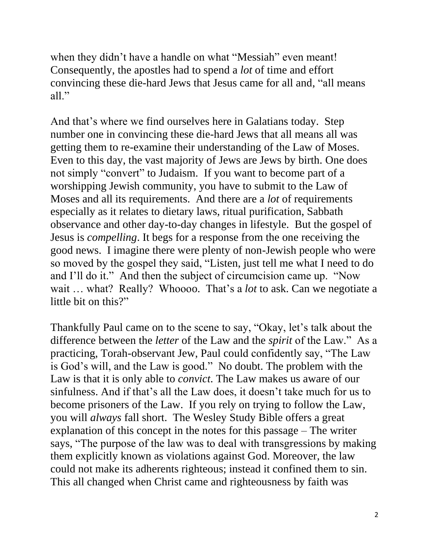when they didn't have a handle on what "Messiah" even meant! Consequently, the apostles had to spend a *lot* of time and effort convincing these die-hard Jews that Jesus came for all and, "all means all."

And that's where we find ourselves here in Galatians today. Step number one in convincing these die-hard Jews that all means all was getting them to re-examine their understanding of the Law of Moses. Even to this day, the vast majority of Jews are Jews by birth. One does not simply "convert" to Judaism. If you want to become part of a worshipping Jewish community, you have to submit to the Law of Moses and all its requirements. And there are a *lot* of requirements especially as it relates to dietary laws, ritual purification, Sabbath observance and other day-to-day changes in lifestyle. But the gospel of Jesus is *compelling*. It begs for a response from the one receiving the good news. I imagine there were plenty of non-Jewish people who were so moved by the gospel they said, "Listen, just tell me what I need to do and I'll do it." And then the subject of circumcision came up. "Now wait … what? Really? Whoooo. That's a *lot* to ask. Can we negotiate a little bit on this?"

Thankfully Paul came on to the scene to say, "Okay, let's talk about the difference between the *letter* of the Law and the *spirit* of the Law." As a practicing, Torah-observant Jew, Paul could confidently say, "The Law is God's will, and the Law is good." No doubt. The problem with the Law is that it is only able to *convict*. The Law makes us aware of our sinfulness. And if that's all the Law does, it doesn't take much for us to become prisoners of the Law. If you rely on trying to follow the Law, you will *always* fall short. The Wesley Study Bible offers a great explanation of this concept in the notes for this passage – The writer says, "The purpose of the law was to deal with transgressions by making them explicitly known as violations against God. Moreover, the law could not make its adherents righteous; instead it confined them to sin. This all changed when Christ came and righteousness by faith was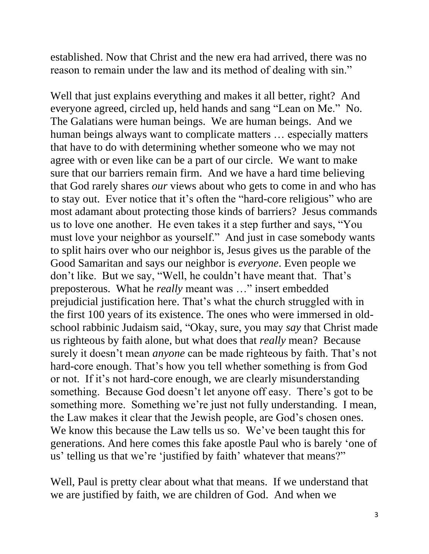established. Now that Christ and the new era had arrived, there was no reason to remain under the law and its method of dealing with sin."

Well that just explains everything and makes it all better, right? And everyone agreed, circled up, held hands and sang "Lean on Me." No. The Galatians were human beings. We are human beings. And we human beings always want to complicate matters … especially matters that have to do with determining whether someone who we may not agree with or even like can be a part of our circle. We want to make sure that our barriers remain firm. And we have a hard time believing that God rarely shares *our* views about who gets to come in and who has to stay out. Ever notice that it's often the "hard-core religious" who are most adamant about protecting those kinds of barriers? Jesus commands us to love one another. He even takes it a step further and says, "You must love your neighbor as yourself." And just in case somebody wants to split hairs over who our neighbor is, Jesus gives us the parable of the Good Samaritan and says our neighbor is *everyone*. Even people we don't like. But we say, "Well, he couldn't have meant that. That's preposterous. What he *really* meant was …" insert embedded prejudicial justification here. That's what the church struggled with in the first 100 years of its existence. The ones who were immersed in oldschool rabbinic Judaism said, "Okay, sure, you may *say* that Christ made us righteous by faith alone, but what does that *really* mean? Because surely it doesn't mean *anyone* can be made righteous by faith. That's not hard-core enough. That's how you tell whether something is from God or not. If it's not hard-core enough, we are clearly misunderstanding something. Because God doesn't let anyone off easy. There's got to be something more. Something we're just not fully understanding. I mean, the Law makes it clear that the Jewish people, are God's chosen ones. We know this because the Law tells us so. We've been taught this for generations. And here comes this fake apostle Paul who is barely 'one of us' telling us that we're 'justified by faith' whatever that means?"

Well, Paul is pretty clear about what that means. If we understand that we are justified by faith, we are children of God. And when we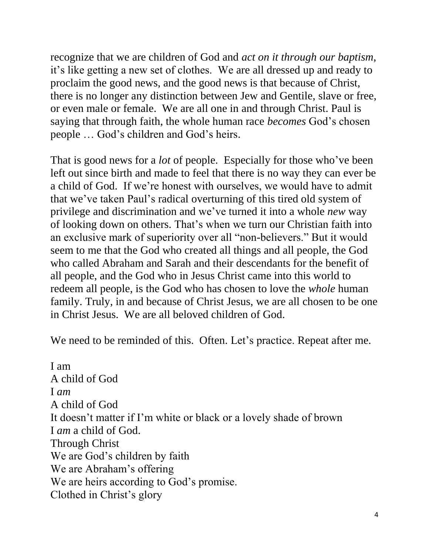recognize that we are children of God and *act on it through our baptism*, it's like getting a new set of clothes. We are all dressed up and ready to proclaim the good news, and the good news is that because of Christ, there is no longer any distinction between Jew and Gentile, slave or free, or even male or female. We are all one in and through Christ. Paul is saying that through faith, the whole human race *becomes* God's chosen people … God's children and God's heirs.

That is good news for a *lot* of people. Especially for those who've been left out since birth and made to feel that there is no way they can ever be a child of God. If we're honest with ourselves, we would have to admit that we've taken Paul's radical overturning of this tired old system of privilege and discrimination and we've turned it into a whole *new* way of looking down on others. That's when we turn our Christian faith into an exclusive mark of superiority over all "non-believers." But it would seem to me that the God who created all things and all people, the God who called Abraham and Sarah and their descendants for the benefit of all people, and the God who in Jesus Christ came into this world to redeem all people, is the God who has chosen to love the *whole* human family. Truly, in and because of Christ Jesus, we are all chosen to be one in Christ Jesus. We are all beloved children of God.

We need to be reminded of this. Often. Let's practice. Repeat after me.

I am A child of God I *am* A child of God It doesn't matter if I'm white or black or a lovely shade of brown I *am* a child of God. Through Christ We are God's children by faith We are Abraham's offering We are heirs according to God's promise. Clothed in Christ's glory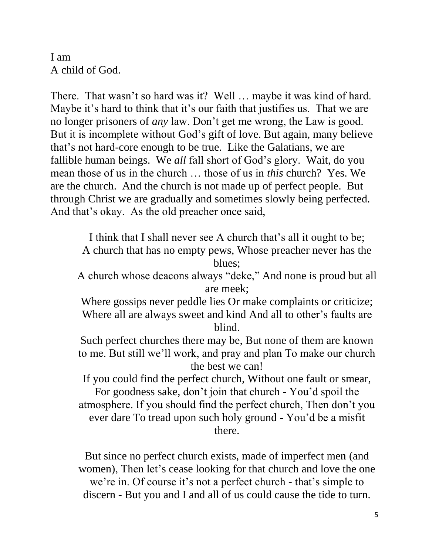I am A child of God.

There. That wasn't so hard was it? Well … maybe it was kind of hard. Maybe it's hard to think that it's our faith that justifies us. That we are no longer prisoners of *any* law. Don't get me wrong, the Law is good. But it is incomplete without God's gift of love. But again, many believe that's not hard-core enough to be true. Like the Galatians, we are fallible human beings. We *all* fall short of God's glory. Wait, do you mean those of us in the church … those of us in *this* church? Yes. We are the church. And the church is not made up of perfect people. But through Christ we are gradually and sometimes slowly being perfected. And that's okay. As the old preacher once said,

I think that I shall never see A church that's all it ought to be; A church that has no empty pews, Whose preacher never has the blues;

A church whose deacons always "deke," And none is proud but all are meek;

Where gossips never peddle lies Or make complaints or criticize; Where all are always sweet and kind And all to other's faults are blind.

Such perfect churches there may be, But none of them are known to me. But still we'll work, and pray and plan To make our church the best we can!

If you could find the perfect church, Without one fault or smear, For goodness sake, don't join that church - You'd spoil the

atmosphere. If you should find the perfect church, Then don't you ever dare To tread upon such holy ground - You'd be a misfit there.

But since no perfect church exists, made of imperfect men (and women), Then let's cease looking for that church and love the one we're in. Of course it's not a perfect church - that's simple to discern - But you and I and all of us could cause the tide to turn.